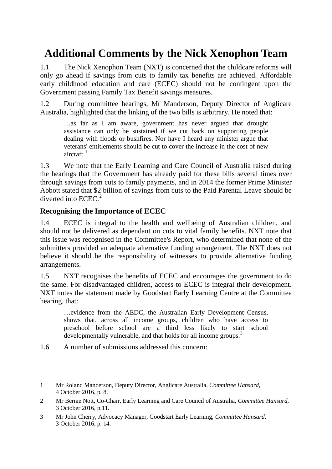# **Additional Comments by the Nick Xenophon Team**

1.1 The Nick Xenophon Team (NXT) is concerned that the childcare reforms will only go ahead if savings from cuts to family tax benefits are achieved. Affordable early childhood education and care (ECEC) should not be contingent upon the Government passing Family Tax Benefit savings measures.

1.2 During committee hearings, Mr Manderson, Deputy Director of Anglicare Australia, highlighted that the linking of the two bills is arbitrary. He noted that:

…as far as I am aware, government has never argued that drought assistance can only be sustained if we cut back on supporting people dealing with floods or bushfires. Nor have I heard any minister argue that veterans' entitlements should be cut to cover the increase in the cost of new aircraft.<sup>[1](#page-0-0)</sup>

1.3 We note that the Early Learning and Care Council of Australia raised during the hearings that the Government has already paid for these bills several times over through savings from cuts to family payments, and in 2014 the former Prime Minister Abbott stated that \$2 billion of savings from cuts to the Paid Parental Leave should be diverted into ECEC. [2](#page-0-1)

## **Recognising the Importance of ECEC**

1.4 ECEC is integral to the health and wellbeing of Australian children, and should not be delivered as dependant on cuts to vital family benefits. NXT note that this issue was recognised in the Committee's Report, who determined that none of the submitters provided an adequate alternative funding arrangement. The NXT does not believe it should be the responsibility of witnesses to provide alternative funding arrangements.

1.5 NXT recognises the benefits of ECEC and encourages the government to do the same. For disadvantaged children, access to ECEC is integral their development. NXT notes the statement made by Goodstart Early Learning Centre at the Committee hearing, that:

…evidence from the AEDC, the Australian Early Development Census, shows that, across all income groups, children who have access to preschool before school are a third less likely to start school developmentally vulnerable, and that holds for all income groups.<sup>[3](#page-0-2)</sup>

1.6 A number of submissions addressed this concern:

<span id="page-0-0"></span><sup>-</sup>1 Mr Roland Manderson, Deputy Director, Anglicare Australia, *Committee Hansard*, 4 October 2016, p. 8.

<span id="page-0-1"></span><sup>2</sup> Mr Bernie Nott, Co-Chair, Early Learning and Care Council of Australia, *Committee Hansard*, 3 October 2016, p.11.

<span id="page-0-2"></span><sup>3</sup> Mr John Cherry, Advocacy Manager, Goodstart Early Learning, *Committee Hansard*, 3 October 2016, p. 14.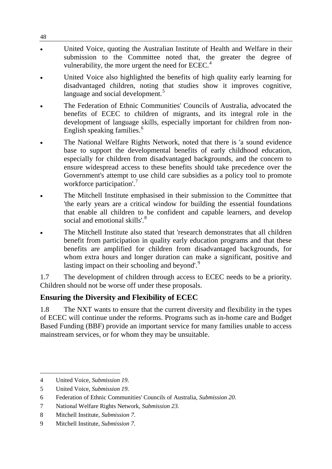- United Voice, quoting the Australian Institute of Health and Welfare in their submission to the Committee noted that, the greater the degree of vulnerability, the more urgent the need for ECEC.<sup>[4](#page-1-0)</sup>
- United Voice also highlighted the benefits of high quality early learning for disadvantaged children, noting that studies show it improves cognitive, language and social development.<sup>[5](#page-1-1)</sup>
- The Federation of Ethnic Communities' Councils of Australia, advocated the benefits of ECEC to children of migrants, and its integral role in the development of language skills, especially important for children from non-English speaking families.<sup>[6](#page-1-2)</sup>
- The National Welfare Rights Network, noted that there is 'a sound evidence base to support the developmental benefits of early childhood education, especially for children from disadvantaged backgrounds, and the concern to ensure widespread access to these benefits should take precedence over the Government's attempt to use child care subsidies as a policy tool to promote workforce participation'. [7](#page-1-3)
- The Mitchell Institute emphasised in their submission to the Committee that 'the early years are a critical window for building the essential foundations that enable all children to be confident and capable learners, and develop social and emotional skills'.<sup>[8](#page-1-4)</sup>
- The Mitchell Institute also stated that 'research demonstrates that all children benefit from participation in quality early education programs and that these benefits are amplified for children from disadvantaged backgrounds, for whom extra hours and longer duration can make a significant, positive and lasting impact on their schooling and beyond'.<sup>[9](#page-1-5)</sup>

1.7 The development of children through access to ECEC needs to be a priority. Children should not be worse off under these proposals.

## **Ensuring the Diversity and Flexibility of ECEC**

1.8 The NXT wants to ensure that the current diversity and flexibility in the types of ECEC will continue under the reforms. Programs such as in-home care and Budget Based Funding (BBF) provide an important service for many families unable to access mainstream services, or for whom they may be unsuitable.

48

<span id="page-1-0"></span><sup>-</sup>4 United Voice, *Submission 19*.

<span id="page-1-1"></span><sup>5</sup> United Voice, *Submission 19*.

<span id="page-1-2"></span><sup>6</sup> Federation of Ethnic Communities' Councils of Australia, *Submission 20*.

<span id="page-1-3"></span><sup>7</sup> National Welfare Rights Network, *Submission 23.*

<span id="page-1-4"></span><sup>8</sup> Mitchell Institute, *Submission 7*.

<span id="page-1-5"></span><sup>9</sup> Mitchell Institute, *Submission 7*.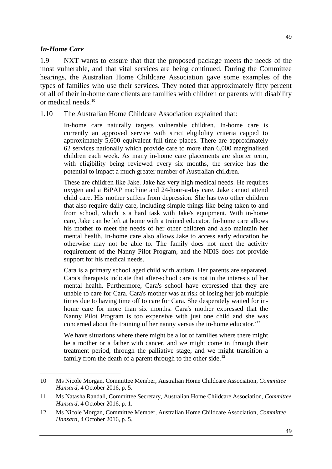#### *In-Home Care*

-

1.9 NXT wants to ensure that that the proposed package meets the needs of the most vulnerable, and that vital services are being continued. During the Committee hearings, the Australian Home Childcare Association gave some examples of the types of families who use their services. They noted that approximately fifty percent of all of their in-home care clients are families with children or parents with disability or medical needs<sup>[10](#page-2-0)</sup>

1.10 The Australian Home Childcare Association explained that:

In-home care naturally targets vulnerable children. In-home care is currently an approved service with strict eligibility criteria capped to approximately 5,600 equivalent full-time places. There are approximately 62 services nationally which provide care to more than 6,000 marginalised children each week. As many in-home care placements are shorter term, with eligibility being reviewed every six months, the service has the potential to impact a much greater number of Australian children.

These are children like Jake. Jake has very high medical needs. He requires oxygen and a BiPAP machine and 24-hour-a-day care. Jake cannot attend child care. His mother suffers from depression. She has two other children that also require daily care, including simple things like being taken to and from school, which is a hard task with Jake's equipment. With in-home care, Jake can be left at home with a trained educator. In-home care allows his mother to meet the needs of her other children and also maintain her mental health. In-home care also allows Jake to access early education he otherwise may not be able to. The family does not meet the activity requirement of the Nanny Pilot Program, and the NDIS does not provide support for his medical needs.

Cara is a primary school aged child with autism. Her parents are separated. Cara's therapists indicate that after-school care is not in the interests of her mental health. Furthermore, Cara's school have expressed that they are unable to care for Cara. Cara's mother was at risk of losing her job multiple times due to having time off to care for Cara. She desperately waited for inhome care for more than six months. Cara's mother expressed that the Nanny Pilot Program is too expensive with just one child and she was concerned about the training of her nanny versus the in-home educator.' *[11](#page-2-1)*

We have situations where there might be a lot of families where there might be a mother or a father with cancer, and we might come in through their treatment period, through the palliative stage, and we might transition a family from the death of a parent through to the other side.<sup>[12](#page-2-2)</sup>

<span id="page-2-0"></span><sup>10</sup> Ms Nicole Morgan, Committee Member, Australian Home Childcare Association, *Committee Hansard*, 4 October 2016, p. 5.

<span id="page-2-1"></span><sup>11</sup> Ms Natasha Randall, Committee Secretary, Australian Home Childcare Association, *Committee Hansard*, 4 October 2016, p. 1.

<span id="page-2-2"></span><sup>12</sup> Ms Nicole Morgan, Committee Member, Australian Home Childcare Association, *Committee Hansard*, 4 October 2016, p. 5.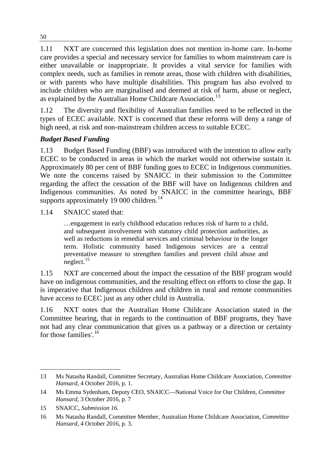1.11 NXT are concerned this legislation does not mention in-home care. In-home care provides a special and necessary service for families to whom mainstream care is either unavailable or inappropriate. It provides a vital service for families with complex needs, such as families in remote areas, those with children with disabilities, or with parents who have multiple disabilities. This program has also evolved to include children who are marginalised and deemed at risk of harm, abuse or neglect, as explained by the Australian Home Childcare Association.<sup>[13](#page-3-0)</sup>

1.12 The diversity and flexibility of Australian families need to be reflected in the types of ECEC available. NXT is concerned that these reforms will deny a range of high need, at risk and non-mainstream children access to suitable ECEC.

### *Budget Based Funding*

1.13 Budget Based Funding (BBF) was introduced with the intention to allow early ECEC to be conducted in areas in which the market would not otherwise sustain it. Approximately 80 per cent of BBF funding goes to ECEC in Indigenous communities. We note the concerns raised by SNAICC in their submission to the Committee regarding the affect the cessation of the BBF will have on Indigenous children and Indigenous communities. As noted by SNAICC in the committee hearings, BBF supports approximately 19 000 children.<sup>[14](#page-3-1)</sup>

1.14 SNAICC stated that:

…engagement in early childhood education reduces risk of harm to a child, and subsequent involvement with statutory child protection authorities, as well as reductions in remedial services and criminal behaviour in the longer term. Holistic community based Indigenous services are a central preventative measure to strengthen families and prevent child abuse and neglect. $15$ 

1.15 NXT are concerned about the impact the cessation of the BBF program would have on indigenous communities, and the resulting effect on efforts to close the gap. It is imperative that Indigenous children and children in rural and remote communities have access to ECEC just as any other child in Australia.

1.16 NXT notes that the Australian Home Childcare Association stated in the Committee hearing, that in regards to the continuation of BBF programs, they 'have not had any clear communication that gives us a pathway or a direction or certainty for those families'. [16](#page-3-3)

<span id="page-3-0"></span><sup>-</sup>13 Ms Natasha Randall, Committee Secretary, Australian Home Childcare Association, *Committee Hansard*, 4 October 2016, p. 1.

<span id="page-3-1"></span><sup>14</sup> Ms Emma Sydenham, Deputy CEO, SNAICC—National Voice for Our Children, *Committee Hansard*, 3 October 2016, p. 7

<span id="page-3-2"></span><sup>15</sup> SNAICC, *Submission 16.*

<span id="page-3-3"></span><sup>16</sup> Ms Natasha Randall, Committee Member, Australian Home Childcare Association, *Committee Hansard*, 4 October 2016, p. 3.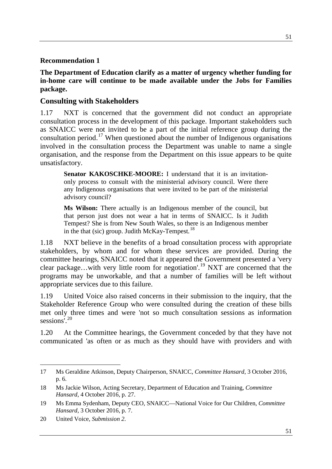#### **Recommendation 1**

**The Department of Education clarify as a matter of urgency whether funding for in-home care will continue to be made available under the Jobs for Families package.**

### **Consulting with Stakeholders**

1.17 NXT is concerned that the government did not conduct an appropriate consultation process in the development of this package. Important stakeholders such as SNAICC were not invited to be a part of the initial reference group during the consultation period.<sup>[17](#page-4-0)</sup> When questioned about the number of Indigenous organisations involved in the consultation process the Department was unable to name a single organisation, and the response from the Department on this issue appears to be quite unsatisfactory.

**Senator KAKOSCHKE-MOORE:** I understand that it is an invitationonly process to consult with the ministerial advisory council. Were there any Indigenous organisations that were invited to be part of the ministerial advisory council?

**Ms Wilson:** There actually is an Indigenous member of the council, but that person just does not wear a hat in terms of SNAICC. Is it Judith Tempest? She is from New South Wales, so there is an Indigenous member in the that (sic) group. Judith McKay-Tempest*.* [18](#page-4-1)

1.18 NXT believe in the benefits of a broad consultation process with appropriate stakeholders, by whom and for whom these services are provided. During the committee hearings, SNAICC noted that it appeared the Government presented a 'very clear package…with very little room for negotiation'. [19](#page-4-2) NXT are concerned that the programs may be unworkable, and that a number of families will be left without appropriate services due to this failure.

1.19 United Voice also raised concerns in their submission to the inquiry, that the Stakeholder Reference Group who were consulted during the creation of these bills met only three times and were 'not so much consultation sessions as information sessions<sup>'.[20](#page-4-3)</sup>

1.20 At the Committee hearings, the Government conceded by that they have not communicated 'as often or as much as they should have with providers and with

<span id="page-4-0"></span><sup>-</sup>17 Ms Geraldine Atkinson, Deputy Chairperson, SNAICC, *Committee Hansard*, 3 October 2016, p. 6.

<span id="page-4-1"></span><sup>18</sup> Ms Jackie Wilson, Acting Secretary, Department of Education and Training, *Committee Hansard*, 4 October 2016, p. 27.

<span id="page-4-2"></span><sup>19</sup> Ms Emma Sydenham, Deputy CEO, SNAICC—National Voice for Our Children, *Committee Hansard*, 3 October 2016, p. 7.

<span id="page-4-3"></span><sup>20</sup> United Voice, *Submission 2*.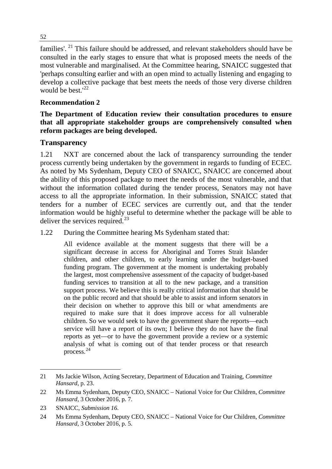families'. [21](#page-5-0) This failure should be addressed, and relevant stakeholders should have be consulted in the early stages to ensure that what is proposed meets the needs of the most vulnerable and marginalised. At the Committee hearing, SNAICC suggested that 'perhaps consulting earlier and with an open mind to actually listening and engaging to develop a collective package that best meets the needs of those very diverse children would be best.<sup>'[22](#page-5-1)</sup>

## **Recommendation 2**

### **The Department of Education review their consultation procedures to ensure that all appropriate stakeholder groups are comprehensively consulted when reform packages are being developed.**

## **Transparency**

1.21 NXT are concerned about the lack of transparency surrounding the tender process currently being undertaken by the government in regards to funding of ECEC. As noted by Ms Sydenham, Deputy CEO of SNAICC, SNAICC are concerned about the ability of this proposed package to meet the needs of the most vulnerable, and that without the information collated during the tender process, Senators may not have access to all the appropriate information. In their submission, SNAICC stated that tenders for a number of ECEC services are currently out, and that the tender information would be highly useful to determine whether the package will be able to deliver the services required.<sup>[23](#page-5-2)</sup>

1.22 During the Committee hearing Ms Sydenham stated that:

All evidence available at the moment suggests that there will be a significant decrease in access for Aboriginal and Torres Strait Islander children, and other children, to early learning under the budget-based funding program. The government at the moment is undertaking probably the largest, most comprehensive assessment of the capacity of budget-based funding services to transition at all to the new package, and a transition support process. We believe this is really critical information that should be on the public record and that should be able to assist and inform senators in their decision on whether to approve this bill or what amendments are required to make sure that it does improve access for all vulnerable children. So we would seek to have the government share the reports—each service will have a report of its own; I believe they do not have the final reports as yet—or to have the government provide a review or a systemic analysis of what is coming out of that tender process or that research process. [24](#page-5-3)

<span id="page-5-0"></span><sup>-</sup>21 Ms Jackie Wilson, Acting Secretary, Department of Education and Training, *Committee Hansard*, p. 23.

<span id="page-5-1"></span><sup>22</sup> Ms Emma Sydenham, Deputy CEO, SNAICC – National Voice for Our Children, *Committee Hansard*, 3 October 2016, p. 7.

<span id="page-5-2"></span><sup>23</sup> SNAICC, *Submission 16*.

<span id="page-5-3"></span><sup>24</sup> Ms Emma Sydenham, Deputy CEO, SNAICC – National Voice for Our Children, *Committee Hansard*, 3 October 2016, p. 5.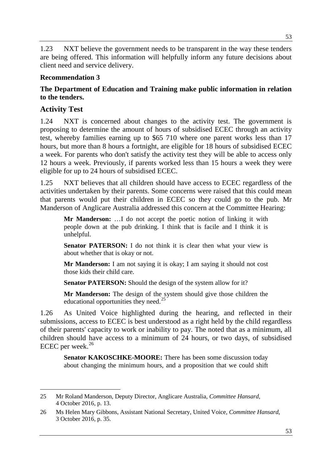1.23 NXT believe the government needs to be transparent in the way these tenders are being offered. This information will helpfully inform any future decisions about client need and service delivery.

#### **Recommendation 3**

### **The Department of Education and Training make public information in relation to the tenders.**

#### **Activity Test**

-

1.24 NXT is concerned about changes to the activity test. The government is proposing to determine the amount of hours of subsidised ECEC through an activity test, whereby families earning up to \$65 710 where one parent works less than 17 hours, but more than 8 hours a fortnight, are eligible for 18 hours of subsidised ECEC a week. For parents who don't satisfy the activity test they will be able to access only 12 hours a week. Previously, if parents worked less than 15 hours a week they were eligible for up to 24 hours of subsidised ECEC.

1.25 NXT believes that all children should have access to ECEC regardless of the activities undertaken by their parents. Some concerns were raised that this could mean that parents would put their children in ECEC so they could go to the pub. Mr Manderson of Anglicare Australia addressed this concern at the Committee Hearing:

**Mr Manderson:** …I do not accept the poetic notion of linking it with people down at the pub drinking. I think that is facile and I think it is unhelpful.

**Senator PATERSON:** I do not think it is clear then what your view is about whether that is okay or not.

**Mr Manderson:** I am not saying it is okay; I am saying it should not cost those kids their child care.

**Senator PATERSON:** Should the design of the system allow for it?

**Mr Manderson:** The design of the system should give those children the educational opportunities they need.<sup>[25](#page-6-0)</sup>

1.26 As United Voice highlighted during the hearing, and reflected in their submissions, access to ECEC is best understood as a right held by the child regardless of their parents' capacity to work or inability to pay. The noted that as a minimum, all children should have access to a minimum of 24 hours, or two days, of subsidised ECEC per week.<sup>[26](#page-6-1)</sup>

**Senator KAKOSCHKE-MOORE:** There has been some discussion today about changing the minimum hours, and a proposition that we could shift

<span id="page-6-0"></span><sup>25</sup> Mr Roland Manderson, Deputy Director, Anglicare Australia*, Committee Hansard*, 4 October 2016, p. 13.

<span id="page-6-1"></span><sup>26</sup> Ms Helen Mary Gibbons, Assistant National Secretary, United Voice, *Committee Hansard*, 3 October 2016, p. 35.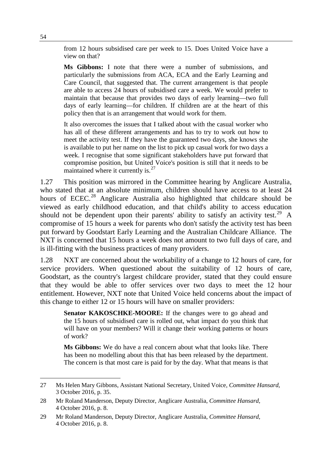from 12 hours subsidised care per week to 15. Does United Voice have a view on that?

**Ms Gibbons:** I note that there were a number of submissions, and particularly the submissions from ACA, ECA and the Early Learning and Care Council, that suggested that. The current arrangement is that people are able to access 24 hours of subsidised care a week. We would prefer to maintain that because that provides two days of early learning—two full days of early learning—for children. If children are at the heart of this policy then that is an arrangement that would work for them.

It also overcomes the issues that I talked about with the casual worker who has all of these different arrangements and has to try to work out how to meet the activity test. If they have the guaranteed two days, she knows she is available to put her name on the list to pick up casual work for two days a week. I recognise that some significant stakeholders have put forward that compromise position, but United Voice's position is still that it needs to be maintained where it currently is.<sup>[27](#page-7-0)</sup>

1.27 This position was mirrored in the Committee hearing by Anglicare Australia, who stated that at an absolute minimum, children should have access to at least 24 hours of ECEC.<sup>[28](#page-7-1)</sup> Anglicare Australia also highlighted that childcare should be viewed as early childhood education, and that child's ability to access education should not be dependent upon their parents' ability to satisfy an activity test.<sup>[29](#page-7-2)</sup> A compromise of 15 hours a week for parents who don't satisfy the activity test has been put forward by Goodstart Early Learning and the Australian Childcare Alliance. The NXT is concerned that 15 hours a week does not amount to two full days of care, and is ill-fitting with the business practices of many providers.

1.28 NXT are concerned about the workability of a change to 12 hours of care, for service providers. When questioned about the suitability of 12 hours of care, Goodstart, as the country's largest childcare provider, stated that they could ensure that they would be able to offer services over two days to meet the 12 hour entitlement. However, NXT note that United Voice held concerns about the impact of this change to either 12 or 15 hours will have on smaller providers:

**Senator KAKOSCHKE-MOORE:** If the changes were to go ahead and the 15 hours of subsidised care is rolled out, what impact do you think that will have on your members? Will it change their working patterns or hours of work?

**Ms Gibbons:** We do have a real concern about what that looks like. There has been no modelling about this that has been released by the department. The concern is that most care is paid for by the day. What that means is that

-

<span id="page-7-0"></span><sup>27</sup> Ms Helen Mary Gibbons, Assistant National Secretary, United Voice, *Committee Hansard*, 3 October 2016, p. 35.

<span id="page-7-1"></span><sup>28</sup> Mr Roland Manderson, Deputy Director, Anglicare Australia, *Committee Hansard*, 4 October 2016, p. 8.

<span id="page-7-2"></span><sup>29</sup> Mr Roland Manderson, Deputy Director, Anglicare Australia, *Committee Hansard*, 4 October 2016, p. 8.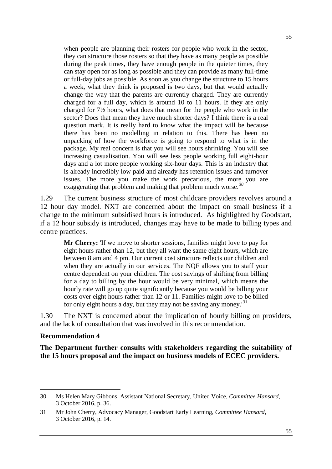when people are planning their rosters for people who work in the sector, they can structure those rosters so that they have as many people as possible during the peak times, they have enough people in the quieter times, they can stay open for as long as possible and they can provide as many full-time or full-day jobs as possible. As soon as you change the structure to 15 hours a week, what they think is proposed is two days, but that would actually change the way that the parents are currently charged. They are currently charged for a full day, which is around 10 to 11 hours. If they are only charged for 7½ hours, what does that mean for the people who work in the sector? Does that mean they have much shorter days? I think there is a real question mark. It is really hard to know what the impact will be because there has been no modelling in relation to this. There has been no unpacking of how the workforce is going to respond to what is in the package. My real concern is that you will see hours shrinking. You will see increasing casualisation. You will see less people working full eight-hour days and a lot more people working six-hour days. This is an industry that is already incredibly low paid and already has retention issues and turnover issues. The more you make the work precarious, the more you are exaggerating that problem and making that problem much worse.*[30](#page-8-0)*

1.29 The current business structure of most childcare providers revolves around a 12 hour day model. NXT are concerned about the impact on small business if a change to the minimum subsidised hours is introduced. As highlighted by Goodstart, if a 12 hour subsidy is introduced, changes may have to be made to billing types and centre practices.

**Mr Cherry:** 'If we move to shorter sessions, families might love to pay for eight hours rather than 12, but they all want the same eight hours, which are between 8 am and 4 pm. Our current cost structure reflects our children and when they are actually in our services. The NQF allows you to staff your centre dependent on your children. The cost savings of shifting from billing for a day to billing by the hour would be very minimal, which means the hourly rate will go up quite significantly because you would be billing your costs over eight hours rather than 12 or 11. Families might love to be billed for only eight hours a day, but they may not be saving any money.<sup>[31](#page-8-1)</sup>

1.30 The NXT is concerned about the implication of hourly billing on providers, and the lack of consultation that was involved in this recommendation.

#### **Recommendation 4**

-

**The Department further consults with stakeholders regarding the suitability of the 15 hours proposal and the impact on business models of ECEC providers.** 

<span id="page-8-0"></span><sup>30</sup> Ms Helen Mary Gibbons, Assistant National Secretary, United Voice, *Committee Hansard*, 3 October 2016, p. 36.

<span id="page-8-1"></span><sup>31</sup> Mr John Cherry, Advocacy Manager, Goodstart Early Learning, *Committee Hansard*, 3 October 2016, p. 14.